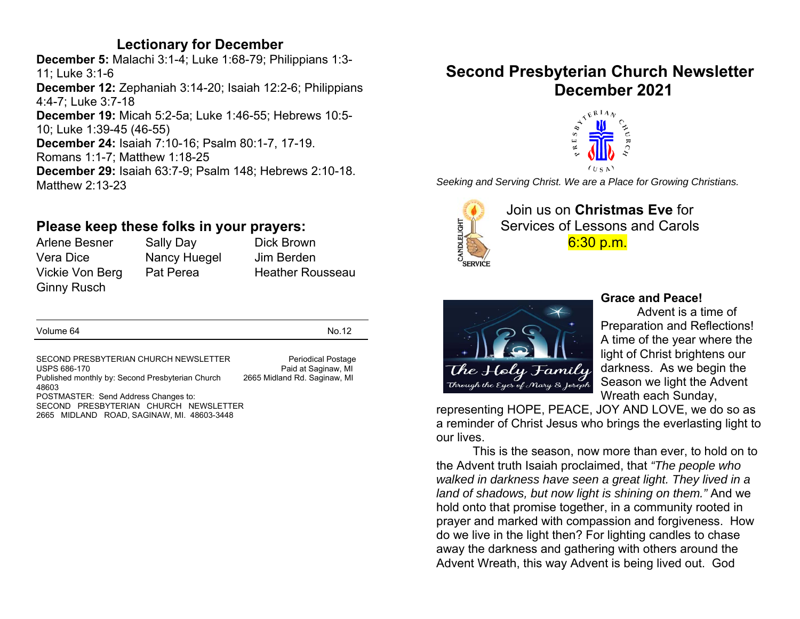## **Lectionary for December**

**December 5:** Malachi 3:1-4; Luke 1:68-79; Philippians 1:3- 11; Luke 3:1-6 **December 12:** Zephaniah 3:14-20; Isaiah 12:2-6; Philippians 4:4-7; Luke 3:7-18 **December 19:** Micah 5:2-5a; Luke 1:46-55; Hebrews 10:5- 10; Luke 1:39-45 (46-55) **December 24:** Isaiah 7:10-16; Psalm 80:1-7, 17-19. Romans 1:1-7; Matthew 1:18-25 **December 29:** Isaiah 63:7-9; Psalm 148; Hebrews 2:10-18. Matthew 2:13-23

## **Please keep these folks in your prayers:**

Ginny Rusch

Arlene Besner Sally Day Dick Brown Vera Dice Nancy Huegel Jim Berden

Vickie Von Berg Pat Perea Heather Rousseau

Volume 64 No.12

SECOND PRESBYTERIAN CHURCH NEWSLETTER Periodical Postage<br>USPS 686-170 Paid at Saqinaw. MI Published monthly by: Second Presbyterian Church 2665 Midland Rd. Saginaw, MI 48603 POSTMASTER: Send Address Changes to: SECOND PRESBYTERIAN CHURCH NEWSLETTER 2665 MIDLAND ROAD, SAGINAW, MI. 48603-3448

Paid at Saginaw, MI

## **Second Presbyterian Church Newsletter December 2021**



*Seeking and Serving Christ. We are a Place for Growing Christians.* 



Join us on **Christmas Eve** forServices of Lessons and Carols 6:30 p.m.



#### **Grace and Peace!**

Advent is a time of Preparation and Reflections! A time of the year where the light of Christ brightens our darkness. As we begin the Season we light the Advent Wreath each Sunday,

representing HOPE, PEACE, JOY AND LOVE, we do so as a reminder of Christ Jesus who brings the everlasting light to our lives.

This is the season, now more than ever, to hold on to the Advent truth Isaiah proclaimed, that *"The people who walked in darkness have seen a great light. They lived in a land of shadows, but now light is shining on them."* And we hold onto that promise together, in a community rooted in prayer and marked with compassion and forgiveness. How do we live in the light then? For lighting candles to chase away the darkness and gathering with others around the Advent Wreath, this way Advent is being lived out. God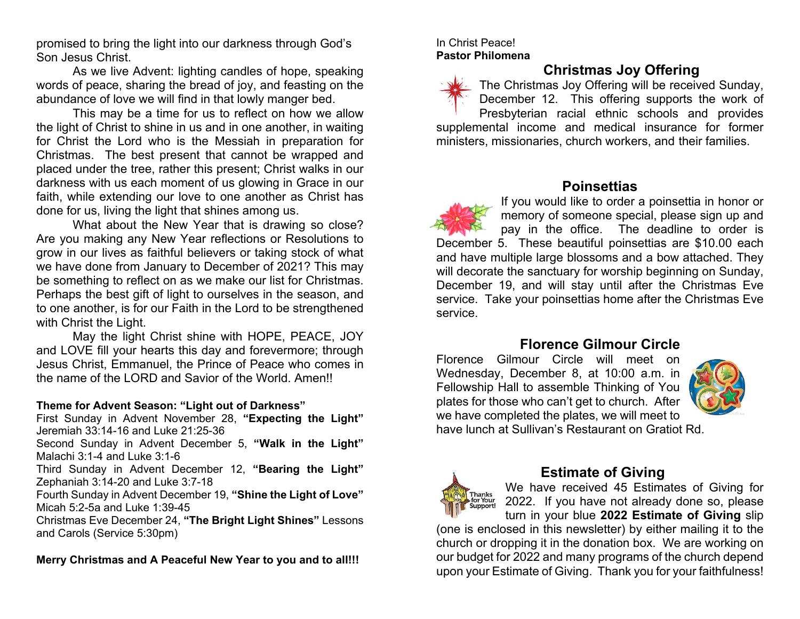promised to bring the light into our darkness through God's Son Jesus Christ.

As we live Advent: lighting candles of hope, speaking words of peace, sharing the bread of joy, and feasting on the abundance of love we will find in that lowly manger bed.

This may be a time for us to reflect on how we allow the light of Christ to shine in us and in one another, in waiting for Christ the Lord who is the Messiah in preparation for Christmas. The best present that cannot be wrapped and placed under the tree, rather this present; Christ walks in our darkness with us each moment of us glowing in Grace in our faith, while extending our love to one another as Christ has done for us, living the light that shines among us.

What about the New Year that is drawing so close? Are you making any New Year reflections or Resolutions to grow in our lives as faithful believers or taking stock of what we have done from January to December of 2021? This may be something to reflect on as we make our list for Christmas. Perhaps the best gift of light to ourselves in the season, and to one another, is for our Faith in the Lord to be strengthened with Christ the Light.

May the light Christ shine with HOPE, PEACE, JOY and LOVE fill your hearts this day and forevermore; through Jesus Christ, Emmanuel, the Prince of Peace who comes in the name of the LORD and Savior of the World. Amen!!

#### **Theme for Advent Season: "Light out of Darkness"**

First Sunday in Advent November 28, **"Expecting the Light"** Jeremiah 33:14-16 and Luke 21:25-36

Second Sunday in Advent December 5, **"Walk in the Light"** Malachi 3:1-4 and Luke 3:1-6

Third Sunday in Advent December 12, **"Bearing the Light"**  Zephaniah 3:14-20 and Luke 3:7-18

Fourth Sunday in Advent December 19, **"Shine the Light of Love"** Micah 5:2-5a and Luke 1:39-45

Christmas Eve December 24, **"The Bright Light Shines"** Lessons and Carols (Service 5:30pm)

**Merry Christmas and A Peaceful New Year to you and to all!!!** 

#### In Christ Peace! **Pastor Philomena**



## **Christmas Joy Offering**

The Christmas Joy Offering will be received Sunday, December 12. This offering supports the work of

Presbyterian racial ethnic schools and provides supplemental income and medical insurance for former ministers, missionaries, church workers, and their families.



## **Poinsettias**

If you would like to order a poinsettia in honor or memory of someone special, please sign up and pay in the office. The deadline to order is December 5. These beautiful poinsettias are \$10.00 each and have multiple large blossoms and a bow attached. They will decorate the sanctuary for worship beginning on Sunday, December 19, and will stay until after the Christmas Eve service. Take your poinsettias home after the Christmas Eve service.

#### **Florence Gilmour Circle**

Florence Gilmour Circle will meet on Wednesday, December 8, at 10:00 a.m. in Fellowship Hall to assemble Thinking of You plates for those who can't get to church. After we have completed the plates, we will meet to have lunch at Sullivan's Restaurant on Gratiot Rd.





## **Estimate of Giving**

We have received 45 Estimates of Giving for 2022. If you have not already done so, please turn in your blue **2022 Estimate of Giving** slip (one is enclosed in this newsletter) by either mailing it to the

church or dropping it in the donation box. We are working on our budget for 2022 and many programs of the church depend upon your Estimate of Giving. Thank you for your faithfulness!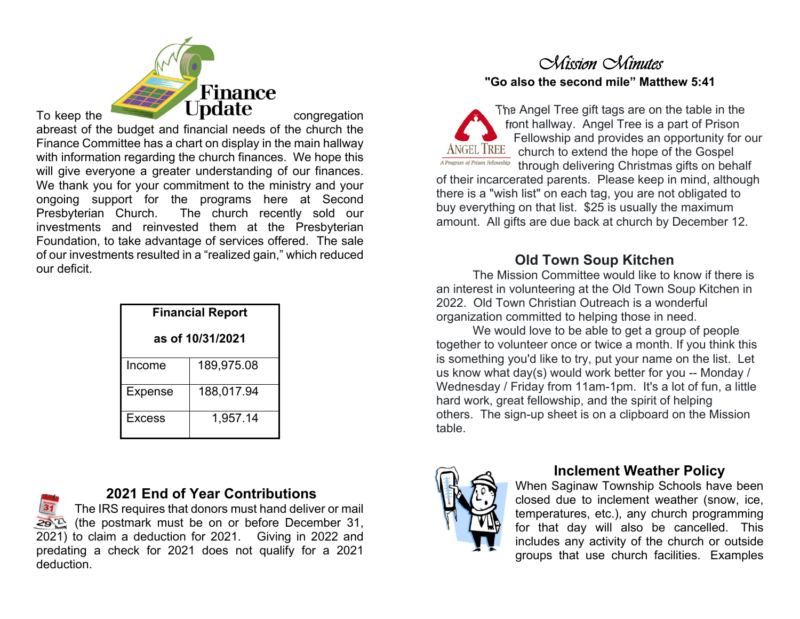

abreast of the budget and financial needs of the church the Finance Committee has a chart on display in the main hallway with information regarding the church finances. We hope this will give everyone a greater understanding of our finances. We thank you for your commitment to the ministry and your ongoing support for the programs here at Second Presbyterian Church. The church recently sold our investments and reinvested them at the Presbyterian Foundation, to take advantage of services offered. The sale of our investments resulted in a "realized gain," which reduced our deficit.

| <b>Financial Report</b> |            |  |  |  |  |
|-------------------------|------------|--|--|--|--|
| as of 10/31/2021        |            |  |  |  |  |
| Income                  | 189,975.08 |  |  |  |  |
| <b>Expense</b>          | 188,017.94 |  |  |  |  |
| <b>Excess</b>           | 1,957.14   |  |  |  |  |

#### **2021 End of Year Contributions** The IRS requires that donors must hand deliver or mail  $292$  (the postmark must be on or before December 31, 2021) to claim a deduction for 2021. Giving in 2022 and predating a check for 2021 does not qualify for a 2021 deduction.

## *Mission Minutes* **"Go also the second mile" Matthew 5:41**

The Angel Tree gift tags are on the table in the front hallway. Angel Tree is a part of Prison Fellowship and provides an opportunity for our ANGEL TREE church to extend the hope of the Gospel A Program of Prison Fellowship through delivering Christmas gifts on behalf

of their incarcerated parents. Please keep in mind, although there is a "wish list" on each tag, you are not obligated to buy everything on that list. \$25 is usually the maximum amount. All gifts are due back at church by December 12.

## **Old Town Soup Kitchen**

 The Mission Committee would like to know if there is an interest in volunteering at the Old Town Soup Kitchen in 2022. Old Town Christian Outreach is a wonderful organization committed to helping those in need.

 We would love to be able to get a group of people together to volunteer once or twice a month. If you think this is something you'd like to try, put your name on the list. Let us know what day(s) would work better for you -- Monday / Wednesday / Friday from 11am-1pm. It's a lot of fun, a little hard work, great fellowship, and the spirit of helping others. The sign-up sheet is on a clipboard on the Mission table.



#### **Inclement Weather Policy**

When Saginaw Township Schools have been closed due to inclement weather (snow, ice, temperatures, etc.), any church programming for that day will also be cancelled. This includes any activity of the church or outside groups that use church facilities. Examples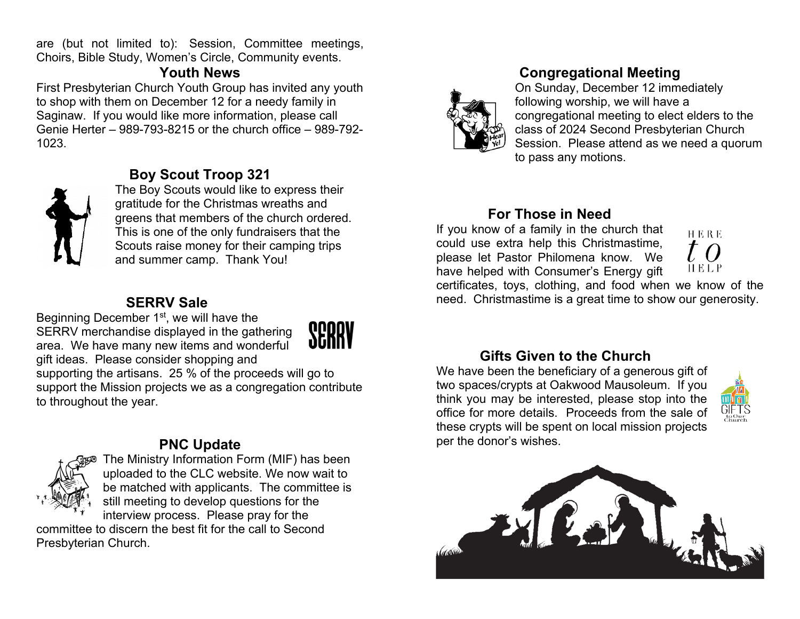are (but not limited to): Session, Committee meetings, Choirs, Bible Study, Women's Circle, Community events.

## **Youth News**

First Presbyterian Church Youth Group has invited any youth to shop with them on December 12 for a needy family in Saginaw. If you would like more information, please call Genie Herter – 989-793-8215 or the church office – 989-792-1023.



## **Boy Scout Troop 321**

The Boy Scouts would like to express their gratitude for the Christmas wreaths and greens that members of the church ordered. This is one of the only fundraisers that the Scouts raise money for their camping trips and summer camp. Thank You!

#### **SERRV Sale**

Beginning December 1st, we will have the SERRV merchandise displayed in the gathering area. We have many new items and wonderful



gift ideas. Please consider shopping and supporting the artisans. 25 % of the proceeds will go to support the Mission projects we as a congregation contribute to throughout the year.

## **PNC Update**



The Ministry Information Form (MIF) has been uploaded to the CLC website. We now wait to be matched with applicants. The committee is still meeting to develop questions for the interview process. Please pray for the

committee to discern the best fit for the call to Second Presbyterian Church.



## **Congregational Meeting**

On Sunday, December 12 immediately following worship, we will have a congregational meeting to elect elders to the class of 2024 Second Presbyterian Church Session. Please attend as we need a quorum to pass any motions.

## **For Those in Need**

If you know of a family in the church that could use extra help this Christmastime, please let Pastor Philomena know. We have helped with Consumer's Energy gift



certificates, toys, clothing, and food when we know of the need. Christmastime is a great time to show our generosity.

## **Gifts Given to the Church**

We have been the beneficiary of a generous gift of two spaces/crypts at Oakwood Mausoleum. If you think you may be interested, please stop into the office for more details. Proceeds from the sale of these crypts will be spent on local mission projects per the donor's wishes.



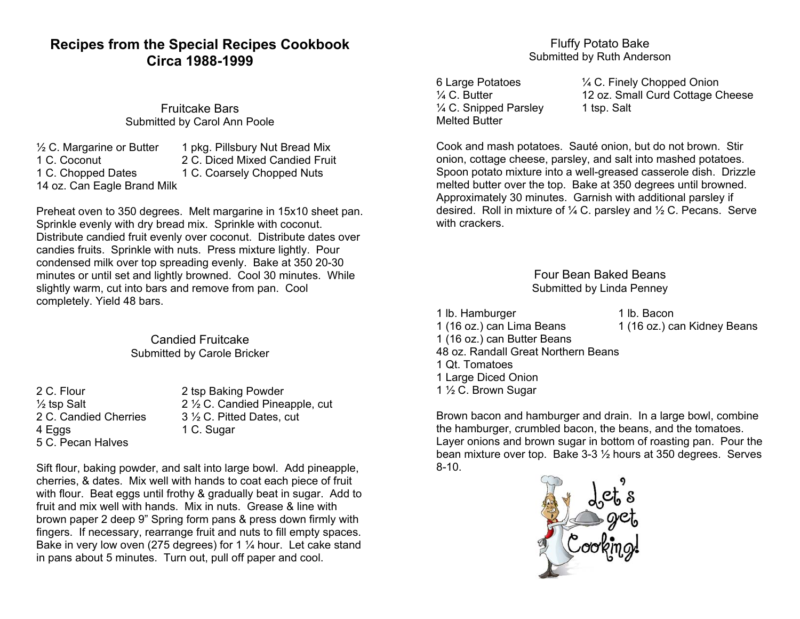## **Recipes from the Special Recipes Cookbook Circa 1988-1999**

Fruitcake Bars Submitted by Carol Ann Poole

 $\frac{1}{2}$  C. Margarine or Butter 1 pkg. Pillsbury Nut Bread Mix 1 C. Coconut 2 C. Diced Mixed Candied Fruit 1 C. Chopped Dates 1 C. Coarsely Chopped Nuts 14 oz. Can Eagle Brand Milk

Preheat oven to 350 degrees. Melt margarine in 15x10 sheet pan. Sprinkle evenly with dry bread mix. Sprinkle with coconut. Distribute candied fruit evenly over coconut. Distribute dates over candies fruits. Sprinkle with nuts. Press mixture lightly. Pour condensed milk over top spreading evenly. Bake at 350 20-30 minutes or until set and lightly browned. Cool 30 minutes. While slightly warm, cut into bars and remove from pan. Cool completely. Yield 48 bars.

> Candied Fruitcake Submitted by Carole Bricker

4 Eggs 1 C. Sugar 5 C. Pecan Halves

2 C. Flour 2 tsp Baking Powder  $\frac{1}{2}$  tsp Salt 2 C. Candied Pineapple, cut 2 C. Candied Cherries 3  $\frac{1}{2}$  C. Pitted Dates. cut 3 ½ C. Pitted Dates, cut

Sift flour, baking powder, and salt into large bowl. Add pineapple, cherries, & dates. Mix well with hands to coat each piece of fruit with flour. Beat eggs until frothy & gradually beat in sugar. Add to fruit and mix well with hands. Mix in nuts. Grease & line with brown paper 2 deep 9" Spring form pans & press down firmly with fingers. If necessary, rearrange fruit and nuts to fill empty spaces. Bake in very low oven (275 degrees) for 1 ¼ hour. Let cake stand in pans about 5 minutes. Turn out, pull off paper and cool.

#### Fluffy Potato Bake Submitted by Ruth Anderson

 $\frac{1}{4}$  C. Snipped Parsley 1 tsp. Salt Melted Butter

6 Large Potatoes ¼ C. Finely Chopped Onion <sup>1</sup>/<sub>4</sub> C. Butter 12 oz. Small Curd Cottage Cheese

Cook and mash potatoes. Sauté onion, but do not brown. Stir onion, cottage cheese, parsley, and salt into mashed potatoes. Spoon potato mixture into a well-greased casserole dish. Drizzle melted butter over the top. Bake at 350 degrees until browned. Approximately 30 minutes. Garnish with additional parsley if desired. Roll in mixture of ¼ C. parsley and ½ C. Pecans. Serve with crackers.

> Four Bean Baked Beans Submitted by Linda Penney

1 lb. Hamburger 1 lb. Bacon 1 (16 oz.) can Lima Beans 1 (16 oz.) can Kidney Beans 1 (16 oz.) can Butter Beans 48 oz. Randall Great Northern Beans 1 Qt. Tomatoes 1 Large Diced Onion 1 ½ C. Brown Sugar

Brown bacon and hamburger and drain. In a large bowl, combine the hamburger, crumbled bacon, the beans, and the tomatoes. Layer onions and brown sugar in bottom of roasting pan. Pour the bean mixture over top. Bake 3-3 ½ hours at 350 degrees. Serves 8-10.